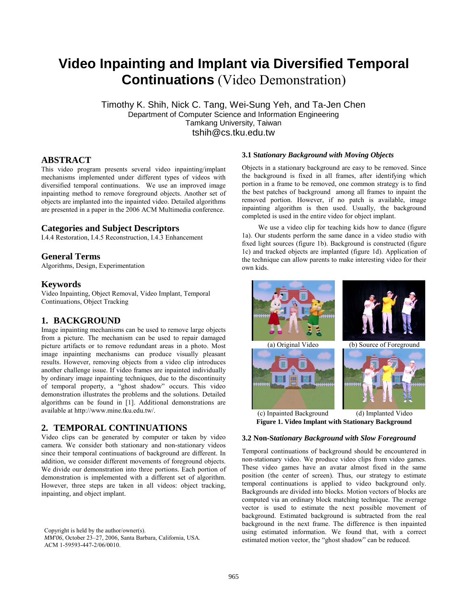# **Video Inpainting and Implant via Diversified Temporal Continuations** (Video Demonstration)

 Timothy K. Shih, Nick C. Tang, Wei-Sung Yeh, and Ta-Jen Chen Department of Computer Science and Information Engineering Tamkang University, Taiwan tshih@cs.tku.edu.tw

# **ABSTRACT**

This video program presents several video inpainting/implant mechanisms implemented under different types of videos with diversified temporal continuations. We use an improved image inpainting method to remove foreground objects. Another set of objects are implanted into the inpainted video. Detailed algorithms are presented in a paper in the 2006 ACM Multimedia conference.

## **Categories and Subject Descriptors**

I.4.4 Restoration, I.4.5 Reconstruction, I.4.3 Enhancement

## **General Terms**

Algorithms, Design, Experimentation

## **Keywords**

Video Inpainting, Object Removal, Video Implant, Temporal Continuations, Object Tracking

## **1. BACKGROUND**

Image inpainting mechanisms can be used to remove large objects from a picture. The mechanism can be used to repair damaged picture artifacts or to remove redundant areas in a photo. Most image inpainting mechanisms can produce visually pleasant results. However, removing objects from a video clip introduces another challenge issue. If video frames are inpainted individually by ordinary image inpainting techniques, due to the discontinuity of temporal property, a "ghost shadow" occurs. This video demonstration illustrates the problems and the solutions. Detailed algorithms can be found in [1]. Additional demonstrations are available at http://www.mine.tku.edu.tw/.

# **2. TEMPORAL CONTINUATIONS**

Video clips can be generated by computer or taken by video camera. We consider both stationary and non-stationary videos since their temporal continuations of background are different. In addition, we consider different movements of foreground objects. We divide our demonstration into three portions. Each portion of demonstration is implemented with a different set of algorithm. However, three steps are taken in all videos: object tracking, inpainting, and object implant.

Copyright is held by the author/owner(s). *MM'06*, October 23–27, 2006, Santa Barbara, California, USA. ACM 1-59593-447-2/06/0010.

#### **3.1 S***tationary Background with Moving Objects*

Objects in a stationary background are easy to be removed. Since the background is fixed in all frames, after identifying which portion in a frame to be removed, one common strategy is to find the best patches of background among all frames to inpaint the removed portion. However, if no patch is available, image inpainting algorithm is then used. Usually, the background completed is used in the entire video for object implant.

We use a video clip for teaching kids how to dance (figure 1a). Our students perform the same dance in a video studio with fixed light sources (figure 1b). Background is constructed (figure 1c) and tracked objects are implanted (figure 1d). Application of the technique can allow parents to make interesting video for their own kids.



**Figure 1. Video Implant with Stationary Background**  (c) Inpainted Background (d) Implanted Video

#### **3.2 Non-S***tationary Background with Slow Foreground*

Temporal continuations of background should be encountered in non-stationary video. We produce video clips from video games. These video games have an avatar almost fixed in the same position (the center of screen). Thus, our strategy to estimate temporal continuations is applied to video background only. Backgrounds are divided into blocks. Motion vectors of blocks are computed via an ordinary block matching technique. The average vector is used to estimate the next possible movement of background. Estimated background is subtracted from the real background in the next frame. The difference is then inpainted using estimated information. We found that, with a correct estimated motion vector, the "ghost shadow" can be reduced.